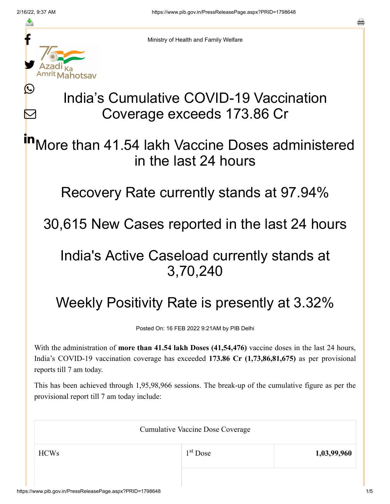≛

Ŀ

 $\bm{\nabla}$ 



Ministry of Health and Family Welfare

## India's Cumulative COVID-19 Vaccination Coverage exceeds 173.86 Cr

More than 41.54 lakh Vaccine Doses administered in the last 24 hours in

Recovery Rate currently stands at 97.94%

30,615 New Cases reported in the last 24 hours

## India's Active Caseload currently stands at 3,70,240

## Weekly Positivity Rate is presently at 3.32%

Posted On: 16 FEB 2022 9:21AM by PIB Delhi

With the administration of **more than 41.54 lakh Doses (41,54,476)** vaccine doses in the last 24 hours, India's COVID-19 vaccination coverage has exceeded **173.86 Cr (1,73,86,81,675)** as per provisional reports till 7 am today.

This has been achieved through 1,95,98,966 sessions. The break-up of the cumulative figure as per the provisional report till 7 am today include:

| <b>Cumulative Vaccine Dose Coverage</b> |            |             |  |
|-----------------------------------------|------------|-------------|--|
| <b>HCWs</b>                             | $1st$ Dose | 1,03,99,960 |  |
|                                         |            |             |  |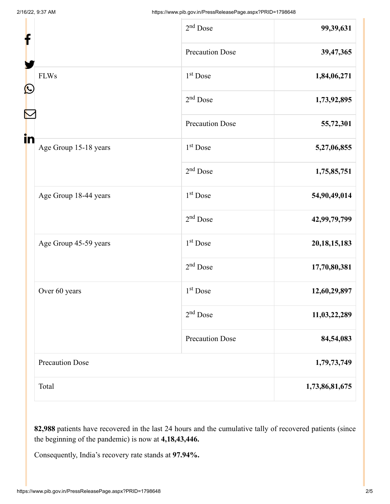| f                           |  | $2nd$ Dose             | 99,39,631       |
|-----------------------------|--|------------------------|-----------------|
|                             |  | <b>Precaution Dose</b> | 39,47,365       |
| <b>FLWs</b><br>C            |  | 1 <sup>st</sup> Dose   | 1,84,06,271     |
|                             |  | $2nd$ Dose             | 1,73,92,895     |
|                             |  | <b>Precaution Dose</b> | 55,72,301       |
| in<br>Age Group 15-18 years |  | $1st$ Dose             | 5,27,06,855     |
|                             |  | $2nd$ Dose             | 1,75,85,751     |
| Age Group 18-44 years       |  | $1st$ Dose             | 54,90,49,014    |
|                             |  | $2nd$ Dose             | 42,99,79,799    |
| Age Group 45-59 years       |  | 1 <sup>st</sup> Dose   | 20, 18, 15, 183 |
|                             |  | $2nd$ Dose             | 17,70,80,381    |
| Over 60 years               |  | 1 <sup>st</sup> Dose   | 12,60,29,897    |
|                             |  | $2nd$ Dose             | 11,03,22,289    |
|                             |  | <b>Precaution Dose</b> | 84,54,083       |
| <b>Precaution Dose</b>      |  |                        | 1,79,73,749     |
| Total                       |  | 1,73,86,81,675         |                 |

**82,988** patients have recovered in the last 24 hours and the cumulative tally of recovered patients (since the beginning of the pandemic) is now at **4,18,43,446.**

Consequently, India's recovery rate stands at **97.94%.**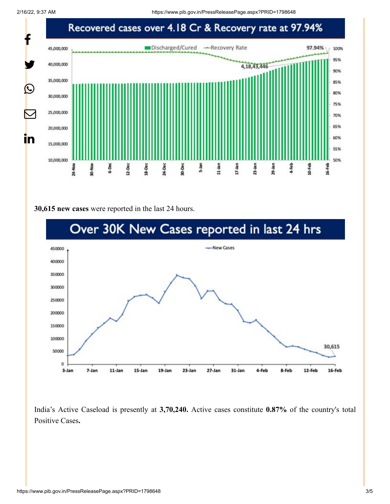

## **30,615 new cases** were reported in the last 24 hours.



India's Active Caseload is presently at **3,70,240.** Active cases constitute **0.87%** of the country's total Positive Cases**.**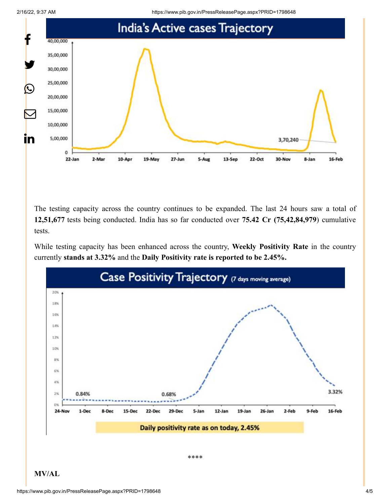



The testing capacity across the country continues to be expanded. The last 24 hours saw a total of **12,51,677** tests being conducted. India has so far conducted over **75.42 Cr (75,42,84,979**) cumulative tests.

While testing capacity has been enhanced across the country, **Weekly Positivity Rate** in the country currently **stands at 3.32%** and the **Daily Positivity rate is reported to be 2.45%.**